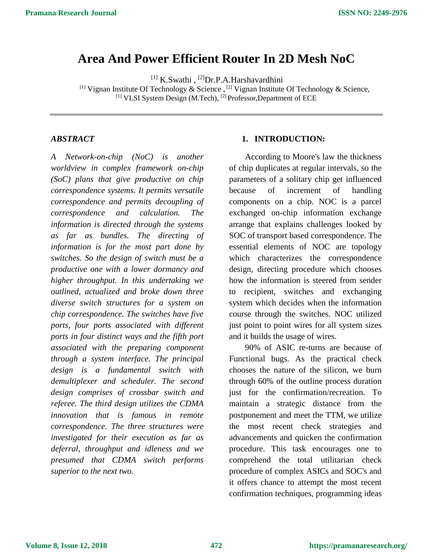# **Area And Power Efficient Router In 2D Mesh NoC**

<sup>[1]</sup> K.Swathi, <sup>[2]</sup>Dr.P.A.Harshavardhini

<sup>[1]</sup> Vignan Institute Of Technology & Science, <sup>[2]</sup> Vignan Institute Of Technology & Science, [1] VLSI System Design (M.Tech), <sup>[2]</sup> Professor, Department of ECE

### *ABSTRACT*

*A Network-on-chip (NoC) is another worldview in complex framework on-chip (SoC) plans that give productive on chip correspondence systems. It permits versatile correspondence and permits decoupling of correspondence and calculation. The information is directed through the systems as far as bundles. The directing of information is for the most part done by switches. So the design of switch must be a productive one with a lower dormancy and higher throughput. In this undertaking we outlined, actualized and broke down three diverse switch structures for a system on chip correspondence. The switches have five ports, four ports associated with different ports in four distinct ways and the fifth port associated with the preparing component through a system interface. The principal design is a fundamental switch with demultiplexer and scheduler. The second design comprises of crossbar switch and referee. The third design utilizes the CDMA innovation that is famous in remote correspondence. The three structures were investigated for their execution as far as deferral, throughput and idleness and we presumed that CDMA switch performs superior to the next two.*

### **1. INTRODUCTION:**

According to Moore's law the thickness of chip duplicates at regular intervals, so the parameters of a solitary chip get influenced because of increment of handling components on a chip. NOC is a parcel exchanged on-chip information exchange arrange that explains challenges looked by SOC of transport based correspondence. The essential elements of NOC are topology which characterizes the correspondence design, directing procedure which chooses how the information is steered from sender to recipient, switches and exchanging system which decides when the information course through the switches. NOC utilized just point to point wires for all system sizes and it builds the usage of wires.

90% of ASIC re-turns are because of Functional bugs. As the practical check chooses the nature of the silicon, we burn through 60% of the outline process duration just for the confirmation/recreation. To maintain a strategic distance from the postponement and meet the TTM, we utilize the most recent check strategies and advancements and quicken the confirmation procedure. This task encourages one to comprehend the total utilitarian check procedure of complex ASICs and SOC's and it offers chance to attempt the most recent confirmation techniques, programming ideas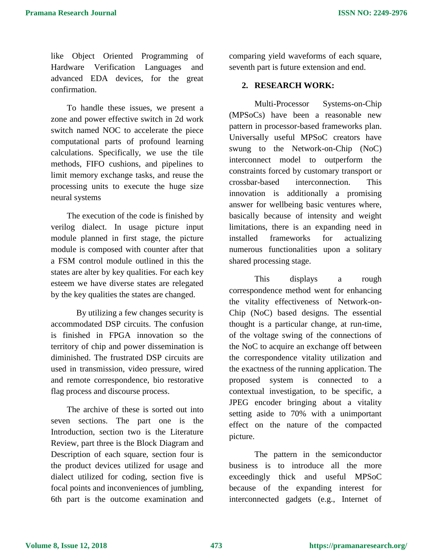like Object Oriented Programming of Hardware Verification Languages and advanced EDA devices, for the great confirmation.

To handle these issues, we present a zone and power effective switch in 2d work switch named NOC to accelerate the piece computational parts of profound learning calculations. Specifically, we use the tile methods, FIFO cushions, and pipelines to limit memory exchange tasks, and reuse the processing units to execute the huge size neural systems

The execution of the code is finished by verilog dialect. In usage picture input module planned in first stage, the picture module is composed with counter after that a FSM control module outlined in this the states are alter by key qualities. For each key esteem we have diverse states are relegated by the key qualities the states are changed.

By utilizing a few changes security is accommodated DSP circuits. The confusion is finished in FPGA innovation so the territory of chip and power dissemination is diminished. The frustrated DSP circuits are used in transmission, video pressure, wired and remote correspondence, bio restorative flag process and discourse process.

The archive of these is sorted out into seven sections. The part one is the Introduction, section two is the Literature Review, part three is the Block Diagram and Description of each square, section four is the product devices utilized for usage and dialect utilized for coding, section five is focal points and inconveniences of jumbling, 6th part is the outcome examination and comparing yield waveforms of each square, seventh part is future extension and end.

### **2. RESEARCH WORK:**

Multi-Processor Systems-on-Chip (MPSoCs) have been a reasonable new pattern in processor-based frameworks plan. Universally useful MPSoC creators have swung to the Network-on-Chip (NoC) interconnect model to outperform the constraints forced by customary transport or crossbar-based interconnection. This innovation is additionally a promising answer for wellbeing basic ventures where, basically because of intensity and weight limitations, there is an expanding need in installed frameworks for actualizing numerous functionalities upon a solitary shared processing stage.

This displays a rough correspondence method went for enhancing the vitality effectiveness of Network-on-Chip (NoC) based designs. The essential thought is a particular change, at run-time, of the voltage swing of the connections of the NoC to acquire an exchange off between the correspondence vitality utilization and the exactness of the running application. The proposed system is connected to a contextual investigation, to be specific, a JPEG encoder bringing about a vitality setting aside to 70% with a unimportant effect on the nature of the compacted picture.

The pattern in the semiconductor business is to introduce all the more exceedingly thick and useful MPSoC because of the expanding interest for interconnected gadgets (e.g., Internet of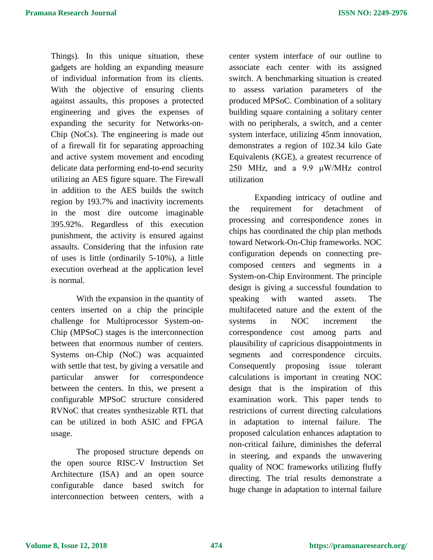Things). In this unique situation, these gadgets are holding an expanding measure of individual information from its clients. With the objective of ensuring clients against assaults, this proposes a protected engineering and gives the expenses of expanding the security for Networks-on-Chip (NoCs). The engineering is made out of a firewall fit for separating approaching and active system movement and encoding delicate data performing end-to-end security utilizing an AES figure square. The Firewall in addition to the AES builds the switch region by 193.7% and inactivity increments in the most dire outcome imaginable 395.92%. Regardless of this execution punishment, the activity is ensured against assaults. Considering that the infusion rate of uses is little (ordinarily 5-10%), a little execution overhead at the application level is normal.

With the expansion in the quantity of centers inserted on a chip the principle challenge for Multiprocessor System-on-Chip (MPSoC) stages is the interconnection between that enormous number of centers. Systems on-Chip (NoC) was acquainted with settle that test, by giving a versatile and particular answer for correspondence between the centers. In this, we present a configurable MPSoC structure considered RVNoC that creates synthesizable RTL that can be utilized in both ASIC and FPGA usage.

The proposed structure depends on the open source RISC-V Instruction Set Architecture (ISA) and an open source configurable dance based switch for interconnection between centers, with a center system interface of our outline to associate each center with its assigned switch. A benchmarking situation is created to assess variation parameters of the produced MPSoC. Combination of a solitary building square containing a solitary center with no peripherals, a switch, and a center system interface, utilizing 45nm innovation, demonstrates a region of 102.34 kilo Gate Equivalents (KGE), a greatest recurrence of 250 MHz, and a 9.9 μW/MHz control utilization

Expanding intricacy of outline and the requirement for detachment of processing and correspondence zones in chips has coordinated the chip plan methods toward Network-On-Chip frameworks. NOC configuration depends on connecting precomposed centers and segments in a System-on-Chip Environment. The principle design is giving a successful foundation to speaking with wanted assets. The multifaceted nature and the extent of the systems in NOC increment the correspondence cost among parts and plausibility of capricious disappointments in segments and correspondence circuits. Consequently proposing issue tolerant calculations is important in creating NOC design that is the inspiration of this examination work. This paper tends to restrictions of current directing calculations in adaptation to internal failure. The proposed calculation enhances adaptation to non-critical failure, diminishes the deferral in steering, and expands the unwavering quality of NOC frameworks utilizing fluffy directing. The trial results demonstrate a huge change in adaptation to internal failure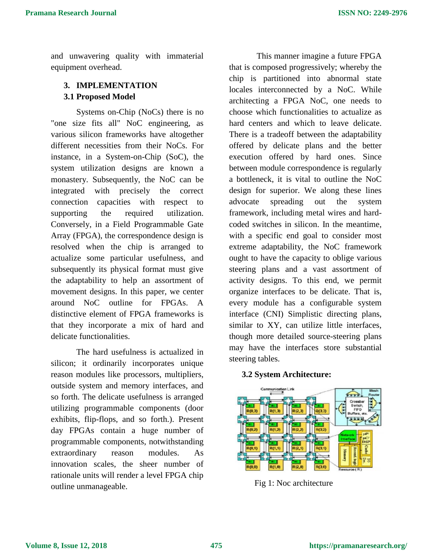and unwavering quality with immaterial equipment overhead.

## **3. IMPLEMENTATION 3.1 Proposed Model**

Systems on-Chip (NoCs) there is no "one size fits all" NoC engineering, as various silicon frameworks have altogether different necessities from their NoCs. For instance, in a System-on-Chip (SoC), the system utilization designs are known a monastery. Subsequently, the NoC can be integrated with precisely the correct connection capacities with respect to supporting the required utilization. Conversely, in a Field Programmable Gate Array (FPGA), the correspondence design is resolved when the chip is arranged to actualize some particular usefulness, and subsequently its physical format must give the adaptability to help an assortment of movement designs. In this paper, we center around NoC outline for FPGAs. A distinctive element of FPGA frameworks is that they incorporate a mix of hard and delicate functionalities.

The hard usefulness is actualized in silicon; it ordinarily incorporates unique reason modules like processors, multipliers, outside system and memory interfaces, and so forth. The delicate usefulness is arranged utilizing programmable components (door exhibits, flip-flops, and so forth.). Present day FPGAs contain a huge number of programmable components, notwithstanding extraordinary reason modules. As innovation scales, the sheer number of rationale units will render a level FPGA chip outline unmanageable.

This manner imagine a future FPGA that is composed progressively; whereby the chip is partitioned into abnormal state locales interconnected by a NoC. While architecting a FPGA NoC, one needs to choose which functionalities to actualize as hard centers and which to leave delicate. There is a tradeoff between the adaptability offered by delicate plans and the better execution offered by hard ones. Since between module correspondence is regularly a bottleneck, it is vital to outline the NoC design for superior. We along these lines advocate spreading out the system framework, including metal wires and hardcoded switches in silicon. In the meantime, with a specific end goal to consider most extreme adaptability, the NoC framework ought to have the capacity to oblige various steering plans and a vast assortment of activity designs. To this end, we permit organize interfaces to be delicate. That is, every module has a configurable system interface (CNI) Simplistic directing plans, similar to XY, can utilize little interfaces, though more detailed source-steering plans may have the interfaces store substantial steering tables.

### **3.2 System Architecture:**



Fig 1: Noc architecture

#### **Volume 8, Issue 12, 2018**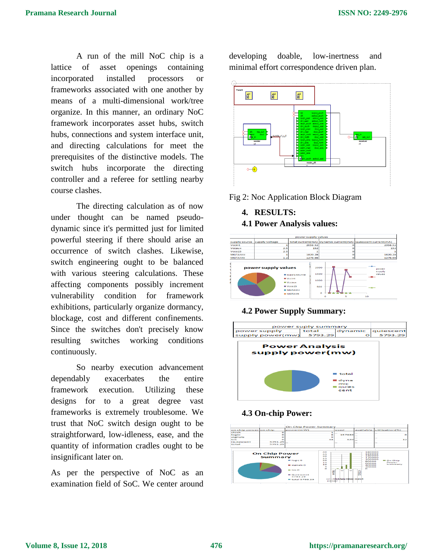A run of the mill NoC chip is a lattice of asset openings containing incorporated installed processors or frameworks associated with one another by means of a multi-dimensional work/tree organize. In this manner, an ordinary NoC framework incorporates asset hubs, switch hubs, connections and system interface unit, and directing calculations for meet the prerequisites of the distinctive models. The switch hubs incorporate the directing controller and a referee for settling nearby course clashes.

The directing calculation as of now under thought can be named pseudodynamic since it's permitted just for limited powerful steering if there should arise an occurrence of switch clashes. Likewise, switch engineering ought to be balanced with various steering calculations. These affecting components possibly increment vulnerability condition for framework exhibitions, particularly organize dormancy, blockage, cost and different confinements. Since the switches don't precisely know resulting switches working conditions continuously.

So nearby execution advancement dependably exacerbates the entire framework execution. Utilizing these designs for to a great degree vast frameworks is extremely troublesome. We trust that NoC switch design ought to be straightforward, low-idleness, ease, and the quantity of information cradles ought to be insignificant later on.

As per the perspective of NoC as an examination field of SoC. We center around developing doable, low-inertness and minimal effort correspondence driven plan.



Fig 2: Noc Application Block Diagram

## **4. RESULTS: 4.1 Power Analysis values:**



## **4.2 Power Supply Summary:**



### **4.3 On-chip Power:**